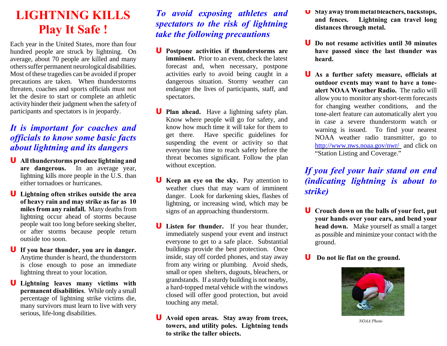## **LIGHTNING KILLS Play It Safe !**

Each year in the United States, more than four hundred people are struck by lightning. On average, about 70 people are killed and many otherssuffer permanent neurological disabilities. Most of these tragedies can be avoided if proper precautions are taken. When thunderstorms threaten, coaches and sports officials must not let the desire to start or complete an athletic activityhinder their judgment when the safetyof participants and spectators is in jeopardy.

## *It is important for coaches and officials to know some basic facts about lightning and its dangers*

- **U All thunderstorms produce lightning and are dangerous.** In an average year, lightning kills more people in the U.S. than either tornadoes or hurricanes.
- **U Lightning often strikes outside the area of heavy rain and may strike as far as 10 miles from any rainfall.** Many deaths from lightning occur ahead of storms because people wait too long before seeking shelter, or after storms because people return outside too soon.
- **U If you hear thunder, you are in danger.** Anytime thunder is heard, the thunderstorm is close enough to pose an immediate lightning threat to your location.
- **U Lightning leaves many victims with permanent disabilities**. While only a small percentage of lightning strike victims die, many survivors must learn to live with very serious, life-long disabilities.

## *To avoid exposing athletes and spectators to the risk of lightning take the following precautions*

- **U Postpone activities if thunderstorms are imminent.** Prior to an event, check the latest forecast and, when necessary, postpone activities early to avoid being caught in a dangerous situation. Stormy weather can endanger the lives of participants, staff, and spectators.
- **U Plan ahead.** Have a lightning safety plan. Know where people will go for safety, and know how much time it will take for them to get there. Have specific guidelines for suspending the event or activity so that everyone has time to reach safety before the threat becomes significant. Follow the plan without exception.
- **U Keep an eye on the sky.** Pay attention to weather clues that may warn of imminent danger. Look for darkening skies, flashes of lightning, or increasing wind, which may be signs of an approaching thunderstorm.
- **U Listen for thunder.** If you hear thunder, immediately suspend your event and instruct everyone to get to a safe place. Substantial buildings provide the best protection. Once inside, stay off corded phones, and stay away from any wiring or plumbing. Avoid sheds, small or open shelters, dugouts, bleachers, or grandstands. If a sturdy building is not nearby, a hard-topped metal vehicle with the windows closed will offer good protection, but avoid touching any metal.
- **U Avoid open areas. Stay away from trees, towers, and utility poles. Lightning tends to strike the taller objects.**
- **U Stay away frommetalbleachers, backstops, and fences. Lightning can travel long distances through metal.**
- **U Do not resume activities until 30 minutes have passed since the last thunder was heard.**
- **U As a further safety measure, officials at outdoor events may want to have a tonealert NOAA Weather Radio.** The radio will allow you to monitor any short-term forecasts for changing weather conditions, and the tone-alert feature can automatically alert you in case a severe thunderstorm watch or warning is issued. To find your nearest NOAA weather radio transmitter, go to http://www.nws.noaa.gov/nwr/ and click on "Station Listing and Coverage."

*If you feel your hair stand on end (indicating lightning is about to strike)*

- **U Crouch down on the balls of your feet, put your hands over your ears, and bend your head down.** Make yourself as small a target as possible and minimize your contact with the ground.
- **U Do not lie flat on the ground.**



*NOAA Photo*